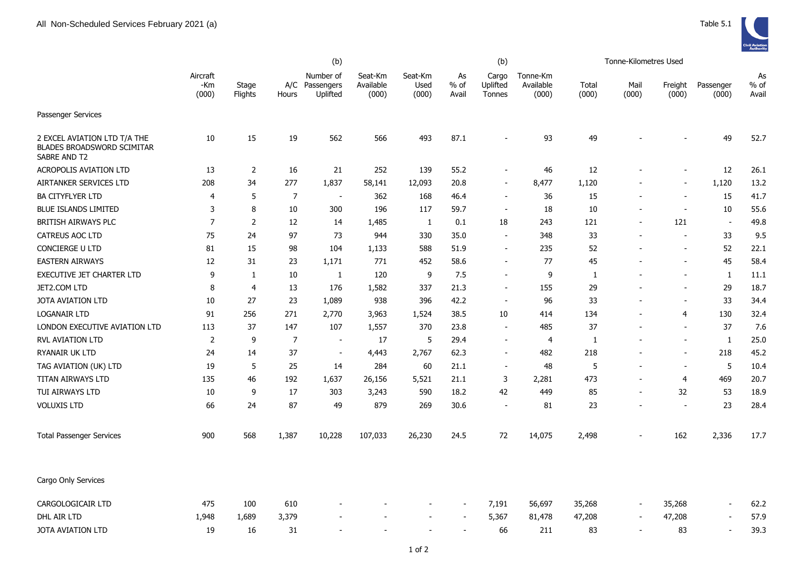| Aircraft<br>Seat-Km<br>Number of<br>Seat-Km<br>Cargo<br>Tonne-Km<br>As<br>Available<br>$%$ of<br>Uplifted<br>% of<br>-Km<br>Stage<br>A/C<br>Passengers<br>Used<br>Available<br>Total<br>Mail<br>Freight<br>Passenger<br>(000)<br>(000)<br>Flights<br>Uplifted<br>(000)<br>(000)<br>Avail<br>(000)<br>(000)<br>(000)<br>(000)<br>Avail<br>Hours<br>Tonnes<br>Passenger Services<br>15<br>19<br>566<br>493<br>87.1<br>93<br>49<br>49<br>52.7<br>2 EXCEL AVIATION LTD T/A THE<br>10<br>562<br><b>BLADES BROADSWORD SCIMITAR</b><br>SABRE AND T2<br>$\overline{2}$<br>21<br>252<br>55.2<br>46<br>$12\,$<br>$12$<br><b>ACROPOLIS AVIATION LTD</b><br>13<br>16<br>139<br>26.1<br>$\blacksquare$<br>$\overline{\phantom{a}}$ |                        | (b) |    |     |       |        |        |      | (b) |       | Tonne-Kilometres Used |  |  |       |      |  |
|-----------------------------------------------------------------------------------------------------------------------------------------------------------------------------------------------------------------------------------------------------------------------------------------------------------------------------------------------------------------------------------------------------------------------------------------------------------------------------------------------------------------------------------------------------------------------------------------------------------------------------------------------------------------------------------------------------------------------|------------------------|-----|----|-----|-------|--------|--------|------|-----|-------|-----------------------|--|--|-------|------|--|
|                                                                                                                                                                                                                                                                                                                                                                                                                                                                                                                                                                                                                                                                                                                       |                        |     |    |     |       |        |        |      |     |       |                       |  |  |       | As   |  |
|                                                                                                                                                                                                                                                                                                                                                                                                                                                                                                                                                                                                                                                                                                                       |                        |     |    |     |       |        |        |      |     |       |                       |  |  |       |      |  |
|                                                                                                                                                                                                                                                                                                                                                                                                                                                                                                                                                                                                                                                                                                                       |                        |     |    |     |       |        |        |      |     |       |                       |  |  |       |      |  |
|                                                                                                                                                                                                                                                                                                                                                                                                                                                                                                                                                                                                                                                                                                                       |                        |     |    |     |       |        |        |      |     |       |                       |  |  |       |      |  |
|                                                                                                                                                                                                                                                                                                                                                                                                                                                                                                                                                                                                                                                                                                                       | AIRTANKER SERVICES LTD | 208 | 34 | 277 | 1,837 | 58,141 | 12,093 | 20.8 |     | 8,477 | 1,120                 |  |  | 1,120 | 13.2 |  |
| $\overline{7}$<br>41.7<br>5<br>362<br>36<br>15<br>15<br><b>BA CITYFLYER LTD</b><br>168<br>46.4<br>4<br>$\blacksquare$<br>$\blacksquare$<br>$\overline{\phantom{a}}$<br>$\overline{\phantom{a}}$                                                                                                                                                                                                                                                                                                                                                                                                                                                                                                                       |                        |     |    |     |       |        |        |      |     |       |                       |  |  |       |      |  |
| 55.6<br>3<br>8<br>10<br>300<br>196<br>18<br>10<br>10<br><b>BLUE ISLANDS LIMITED</b><br>117<br>59.7<br>$\blacksquare$<br>$\blacksquare$<br>$\overline{\phantom{a}}$                                                                                                                                                                                                                                                                                                                                                                                                                                                                                                                                                    |                        |     |    |     |       |        |        |      |     |       |                       |  |  |       |      |  |
| $\overline{7}$<br>$\overline{2}$<br>121<br>49.8<br>BRITISH AIRWAYS PLC<br>12<br>14<br>1,485<br>1<br>0.1<br>18<br>243<br>121<br>$\blacksquare$<br>$\sim$                                                                                                                                                                                                                                                                                                                                                                                                                                                                                                                                                               |                        |     |    |     |       |        |        |      |     |       |                       |  |  |       |      |  |
| 9.5<br>75<br>24<br>97<br>73<br>944<br>348<br>33<br>33<br>CATREUS AOC LTD<br>330<br>35.0<br>÷.<br>$\sim$                                                                                                                                                                                                                                                                                                                                                                                                                                                                                                                                                                                                               |                        |     |    |     |       |        |        |      |     |       |                       |  |  |       |      |  |
| 52<br><b>CONCIERGE U LTD</b><br>81<br>15<br>98<br>104<br>1,133<br>588<br>51.9<br>235<br>52<br>22.1<br>$\overline{a}$                                                                                                                                                                                                                                                                                                                                                                                                                                                                                                                                                                                                  |                        |     |    |     |       |        |        |      |     |       |                       |  |  |       |      |  |
| 45<br><b>EASTERN AIRWAYS</b><br>12<br>31<br>23<br>1,171<br>771<br>452<br>58.6<br>77<br>45<br>58.4<br>$\overline{a}$                                                                                                                                                                                                                                                                                                                                                                                                                                                                                                                                                                                                   |                        |     |    |     |       |        |        |      |     |       |                       |  |  |       |      |  |
| <b>EXECUTIVE JET CHARTER LTD</b><br>9<br>10<br>120<br>9<br>7.5<br>9<br>11.1<br>1<br>1<br>1<br>1<br>$\overline{\phantom{a}}$                                                                                                                                                                                                                                                                                                                                                                                                                                                                                                                                                                                           |                        |     |    |     |       |        |        |      |     |       |                       |  |  |       |      |  |
| 176<br>155<br>29<br>18.7<br>JET2.COM LTD<br>8<br>$\overline{4}$<br>13<br>1,582<br>337<br>21.3<br>29<br>$\blacksquare$<br>$\overline{\phantom{a}}$                                                                                                                                                                                                                                                                                                                                                                                                                                                                                                                                                                     |                        |     |    |     |       |        |        |      |     |       |                       |  |  |       |      |  |
| 27<br>23<br>938<br>96<br>33<br>33<br>34.4<br><b>JOTA AVIATION LTD</b><br>10<br>1,089<br>396<br>42.2<br>$\overline{\phantom{a}}$<br>$\overline{\phantom{a}}$                                                                                                                                                                                                                                                                                                                                                                                                                                                                                                                                                           |                        |     |    |     |       |        |        |      |     |       |                       |  |  |       |      |  |
| 256<br>271<br>2,770<br>38.5<br>134<br>130<br>32.4<br><b>LOGANAIR LTD</b><br>91<br>3,963<br>1,524<br>10<br>414<br>4                                                                                                                                                                                                                                                                                                                                                                                                                                                                                                                                                                                                    |                        |     |    |     |       |        |        |      |     |       |                       |  |  |       |      |  |
| 37<br>LONDON EXECUTIVE AVIATION LTD<br>113<br>37<br>147<br>107<br>370<br>23.8<br>485<br>37<br>7.6<br>1,557                                                                                                                                                                                                                                                                                                                                                                                                                                                                                                                                                                                                            |                        |     |    |     |       |        |        |      |     |       |                       |  |  |       |      |  |
| RVL AVIATION LTD<br>$\overline{2}$<br>9<br>$\overline{7}$<br>17<br>5<br>29.4<br>25.0<br>$\mathbf{1}$<br>4<br>1<br>$\overline{\phantom{a}}$<br>$\overline{a}$                                                                                                                                                                                                                                                                                                                                                                                                                                                                                                                                                          |                        |     |    |     |       |        |        |      |     |       |                       |  |  |       |      |  |
| 37<br>RYANAIR UK LTD<br>482<br>218<br>218<br>45.2<br>24<br>14<br>4,443<br>2,767<br>62.3<br>$\overline{\phantom{a}}$<br>$\sim$                                                                                                                                                                                                                                                                                                                                                                                                                                                                                                                                                                                         |                        |     |    |     |       |        |        |      |     |       |                       |  |  |       |      |  |
| 5<br>19<br>5<br>25<br>48<br>5<br>10.4<br>TAG AVIATION (UK) LTD<br>14<br>284<br>60<br>21.1<br>$\sim$                                                                                                                                                                                                                                                                                                                                                                                                                                                                                                                                                                                                                   |                        |     |    |     |       |        |        |      |     |       |                       |  |  |       |      |  |
| 135<br>46<br>192<br>1,637<br>2,281<br>473<br>469<br>20.7<br>TITAN AIRWAYS LTD<br>26,156<br>5,521<br>21.1<br>3<br>4                                                                                                                                                                                                                                                                                                                                                                                                                                                                                                                                                                                                    |                        |     |    |     |       |        |        |      |     |       |                       |  |  |       |      |  |
| 9<br>17<br>303<br>42<br>449<br>32<br>53<br>18.9<br>TUI AIRWAYS LTD<br>10<br>3,243<br>590<br>18.2<br>85<br>$\overline{\phantom{a}}$                                                                                                                                                                                                                                                                                                                                                                                                                                                                                                                                                                                    |                        |     |    |     |       |        |        |      |     |       |                       |  |  |       |      |  |
| 87<br>24<br>49<br>879<br>23<br>23<br>28.4<br><b>VOLUXIS LTD</b><br>66<br>269<br>30.6<br>81<br>$\overline{\phantom{a}}$                                                                                                                                                                                                                                                                                                                                                                                                                                                                                                                                                                                                |                        |     |    |     |       |        |        |      |     |       |                       |  |  |       |      |  |
| 72<br>900<br>568<br>1,387<br>10,228<br>107,033<br>26,230<br>14,075<br>2,498<br>162<br>2,336<br>17.7<br><b>Total Passenger Services</b><br>24.5                                                                                                                                                                                                                                                                                                                                                                                                                                                                                                                                                                        |                        |     |    |     |       |        |        |      |     |       |                       |  |  |       |      |  |
| Cargo Only Services                                                                                                                                                                                                                                                                                                                                                                                                                                                                                                                                                                                                                                                                                                   |                        |     |    |     |       |        |        |      |     |       |                       |  |  |       |      |  |
| CARGOLOGICAIR LTD<br>475<br>100<br>610<br>7,191<br>56,697<br>35,268<br>35,268<br>62.2<br>$\sim$<br>$\blacksquare$                                                                                                                                                                                                                                                                                                                                                                                                                                                                                                                                                                                                     |                        |     |    |     |       |        |        |      |     |       |                       |  |  |       |      |  |
| 3,379<br>57.9<br>DHL AIR LTD<br>1,948<br>1,689<br>5,367<br>81,478<br>47,208<br>47,208<br>$\blacksquare$<br>$\blacksquare$<br>$\blacksquare$                                                                                                                                                                                                                                                                                                                                                                                                                                                                                                                                                                           |                        |     |    |     |       |        |        |      |     |       |                       |  |  |       |      |  |
| 19<br>31<br>83<br>83<br>39.3<br>JOTA AVIATION LTD<br>16<br>66<br>211<br>$\sim$<br>$\blacksquare$                                                                                                                                                                                                                                                                                                                                                                                                                                                                                                                                                                                                                      |                        |     |    |     |       |        |        |      |     |       |                       |  |  |       |      |  |